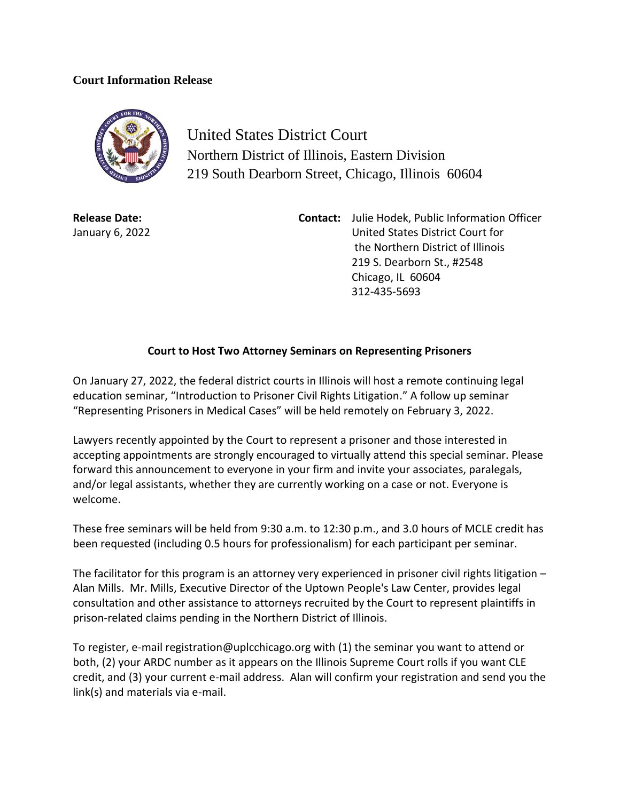## **Court Information Release**



United States District Court Northern District of Illinois, Eastern Division 219 South Dearborn Street, Chicago, Illinois 60604

**Release Date:** January 6, 2022 **Contact:** Julie Hodek, Public Information Officer United States District Court for the Northern District of Illinois 219 S. Dearborn St., #2548 Chicago, IL 60604 312-435-5693

## **Court to Host Two Attorney Seminars on Representing Prisoners**

On January 27, 2022, the federal district courts in Illinois will host a remote continuing legal education seminar, "Introduction to Prisoner Civil Rights Litigation." A follow up seminar "Representing Prisoners in Medical Cases" will be held remotely on February 3, 2022.

Lawyers recently appointed by the Court to represent a prisoner and those interested in accepting appointments are strongly encouraged to virtually attend this special seminar. Please forward this announcement to everyone in your firm and invite your associates, paralegals, and/or legal assistants, whether they are currently working on a case or not. Everyone is welcome.

These free seminars will be held from 9:30 a.m. to 12:30 p.m., and 3.0 hours of MCLE credit has been requested (including 0.5 hours for professionalism) for each participant per seminar.

The facilitator for this program is an attorney very experienced in prisoner civil rights litigation – Alan Mills. Mr. Mills, Executive Director of the Uptown People's Law Center, provides legal consultation and other assistance to attorneys recruited by the Court to represent plaintiffs in prison-related claims pending in the Northern District of Illinois.

To register, e-mail registration@uplcchicago.org with (1) the seminar you want to attend or both, (2) your ARDC number as it appears on the Illinois Supreme Court rolls if you want CLE credit, and (3) your current e-mail address. Alan will confirm your registration and send you the link(s) and materials via e-mail.